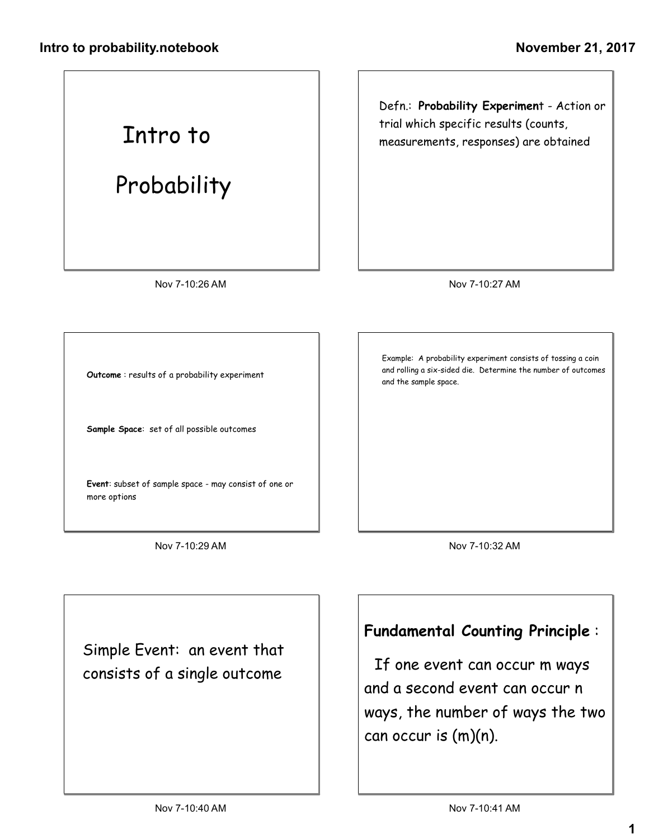## Intro to

## Probability

Defn.: Probability Experiment - Action or trial which specific results (counts, measurements, responses) are obtained

Nov 7-10:26 AM

Nov 7-10:27 AM

Outcome : results of a probability experiment

Sample Space: set of all possible outcomes

Event: subset of sample space - may consist of one or more options

Nov 7-10:29 AM

Example: A probability experiment consists of tossing a coin and rolling a six-sided die. Determine the number of outcomes and the sample space.

Nov 7-10:32 AM

Simple Event: an event that consists of a single outcome

Fundamental Counting Principle :

If one event can occur m ways and a second event can occur n ways, the number of ways the two can occur is (m)(n).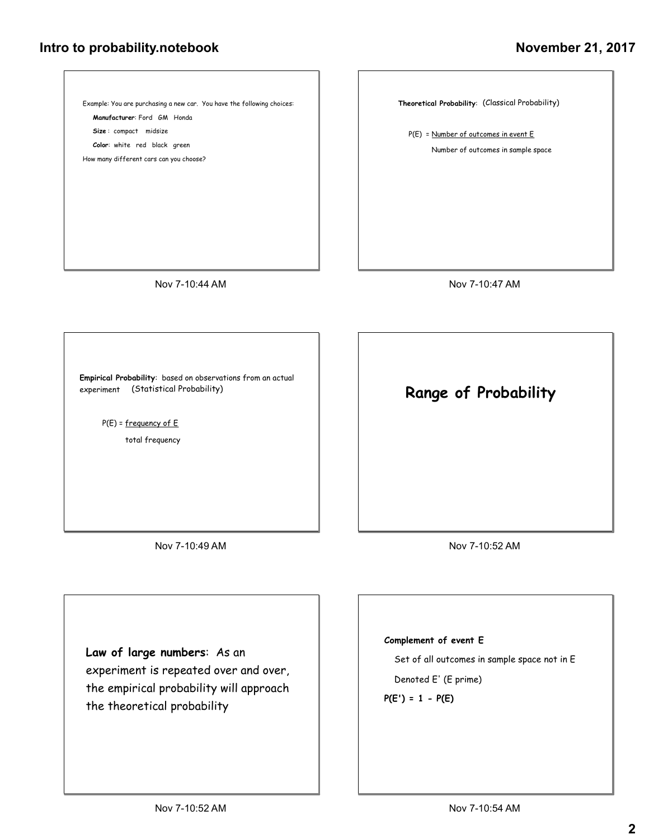## Intro to probability.notebook

## November 21, 2017



Law of large numbers: As an

experiment is repeated over and over, the empirical probability will approach the theoretical probability

Set of all outcomes in sample space not in E

Denoted E' (E prime)

 $P(E') = 1 - P(E)$